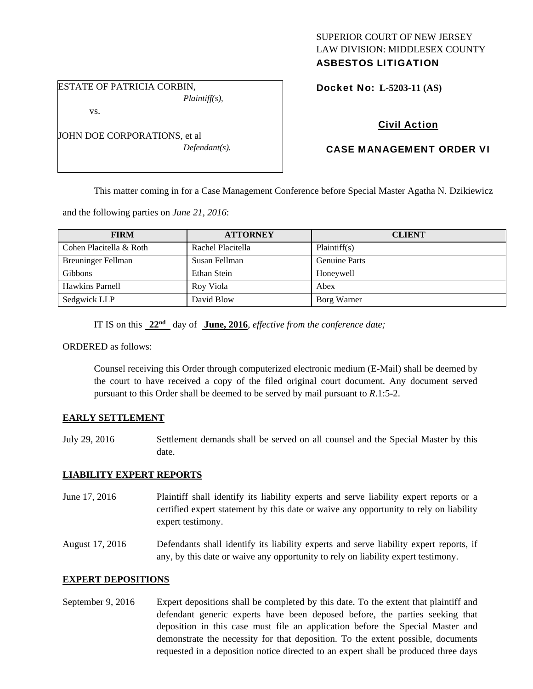# SUPERIOR COURT OF NEW JERSEY LAW DIVISION: MIDDLESEX COUNTY

# ASBESTOS LITIGATION

ESTATE OF PATRICIA CORBIN, *Plaintiff(s),* 

vs.

JOHN DOE CORPORATIONS, et al *Defendant(s).*  Docket No: **L-5203-11 (AS)** 

# Civil Action

## CASE MANAGEMENT ORDER VI

This matter coming in for a Case Management Conference before Special Master Agatha N. Dzikiewicz

and the following parties on *June 21, 2016*:

| <b>FIRM</b>             | <b>ATTORNEY</b>   | <b>CLIENT</b>        |
|-------------------------|-------------------|----------------------|
| Cohen Placitella & Roth | Rachel Placitella | Plaintiff(s)         |
| Breuninger Fellman      | Susan Fellman     | <b>Genuine Parts</b> |
| <b>Gibbons</b>          | Ethan Stein       | Honeywell            |
| Hawkins Parnell         | Roy Viola         | Abex                 |
| Sedgwick LLP            | David Blow        | Borg Warner          |

IT IS on this **22nd** day of **June, 2016**, *effective from the conference date;*

ORDERED as follows:

Counsel receiving this Order through computerized electronic medium (E-Mail) shall be deemed by the court to have received a copy of the filed original court document. Any document served pursuant to this Order shall be deemed to be served by mail pursuant to *R*.1:5-2.

#### **EARLY SETTLEMENT**

July 29, 2016 Settlement demands shall be served on all counsel and the Special Master by this date.

### **LIABILITY EXPERT REPORTS**

June 17, 2016 Plaintiff shall identify its liability experts and serve liability expert reports or a certified expert statement by this date or waive any opportunity to rely on liability expert testimony.

August 17, 2016 Defendants shall identify its liability experts and serve liability expert reports, if any, by this date or waive any opportunity to rely on liability expert testimony.

#### **EXPERT DEPOSITIONS**

September 9, 2016 Expert depositions shall be completed by this date. To the extent that plaintiff and defendant generic experts have been deposed before, the parties seeking that deposition in this case must file an application before the Special Master and demonstrate the necessity for that deposition. To the extent possible, documents requested in a deposition notice directed to an expert shall be produced three days